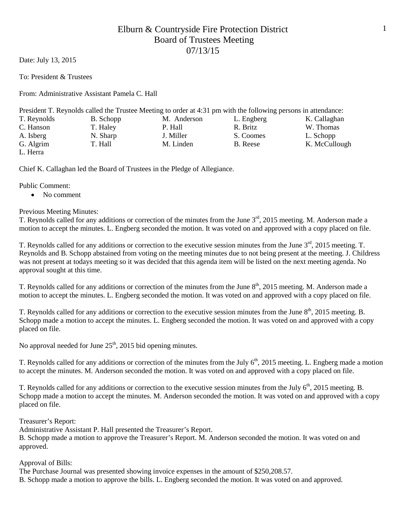Date: July 13, 2015

To: President & Trustees

From: Administrative Assistant Pamela C. Hall

|                                        |           | President T. Reynolds called the Trustee Meeting to order at 4:31 pm with the following persons in attendance: |            |               |
|----------------------------------------|-----------|----------------------------------------------------------------------------------------------------------------|------------|---------------|
| T. Reynolds                            | B. Schopp | M. Anderson                                                                                                    | L. Engberg | K. Callaghan  |
| C. Hanson                              | T. Haley  | P. Hall                                                                                                        | R. Britz   | W. Thomas     |
| A. Isberg                              | N. Sharp  | J. Miller                                                                                                      | S. Coomes  | L. Schopp     |
| G. Algrim                              | T. Hall   | M. Linden                                                                                                      | B. Reese   | K. McCullough |
| $\mathbf{r}$ $\mathbf{r}$ $\mathbf{r}$ |           |                                                                                                                |            |               |

L. Herra

Chief K. Callaghan led the Board of Trustees in the Pledge of Allegiance.

Public Comment:

• No comment

Previous Meeting Minutes:

T. Reynolds called for any additions or correction of the minutes from the June  $3<sup>rd</sup>$ , 2015 meeting. M. Anderson made a motion to accept the minutes. L. Engberg seconded the motion. It was voted on and approved with a copy placed on file.

T. Reynolds called for any additions or correction to the executive session minutes from the June 3<sup>rd</sup>, 2015 meeting. T. Reynolds and B. Schopp abstained from voting on the meeting minutes due to not being present at the meeting. J. Childress was not present at todays meeting so it was decided that this agenda item will be listed on the next meeting agenda. No approval sought at this time.

T. Reynolds called for any additions or correction of the minutes from the June 8<sup>th</sup>, 2015 meeting. M. Anderson made a motion to accept the minutes. L. Engberg seconded the motion. It was voted on and approved with a copy placed on file.

T. Reynolds called for any additions or correction to the executive session minutes from the June 8<sup>th</sup>, 2015 meeting. B. Schopp made a motion to accept the minutes. L. Engberg seconded the motion. It was voted on and approved with a copy placed on file.

No approval needed for June  $25<sup>th</sup>$ , 2015 bid opening minutes.

T. Reynolds called for any additions or correction of the minutes from the July  $6<sup>th</sup>$ , 2015 meeting. L. Engberg made a motion to accept the minutes. M. Anderson seconded the motion. It was voted on and approved with a copy placed on file.

T. Reynolds called for any additions or correction to the executive session minutes from the July 6<sup>th</sup>, 2015 meeting. B. Schopp made a motion to accept the minutes. M. Anderson seconded the motion. It was voted on and approved with a copy placed on file.

Treasurer's Report:

Administrative Assistant P. Hall presented the Treasurer's Report.

B. Schopp made a motion to approve the Treasurer's Report. M. Anderson seconded the motion. It was voted on and approved.

Approval of Bills:

The Purchase Journal was presented showing invoice expenses in the amount of \$250,208.57. B. Schopp made a motion to approve the bills. L. Engberg seconded the motion. It was voted on and approved.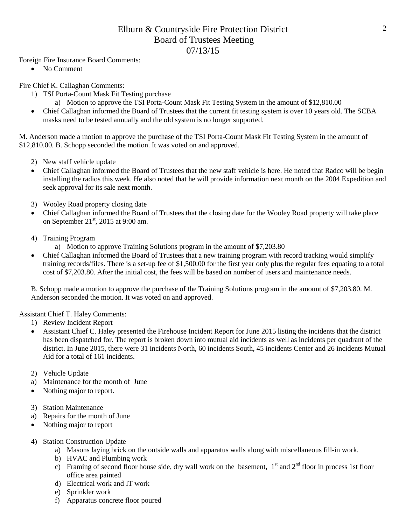Foreign Fire Insurance Board Comments:

• No Comment

Fire Chief K. Callaghan Comments:

- 1) TSI Porta-Count Mask Fit Testing purchase
	- a) Motion to approve the TSI Porta-Count Mask Fit Testing System in the amount of \$12,810.00
- Chief Callaghan informed the Board of Trustees that the current fit testing system is over 10 years old. The SCBA masks need to be tested annually and the old system is no longer supported.

M. Anderson made a motion to approve the purchase of the TSI Porta-Count Mask Fit Testing System in the amount of \$12,810.00. B. Schopp seconded the motion. It was voted on and approved.

- 2) New staff vehicle update
- Chief Callaghan informed the Board of Trustees that the new staff vehicle is here. He noted that Radco will be begin installing the radios this week. He also noted that he will provide information next month on the 2004 Expedition and seek approval for its sale next month.
- 3) Wooley Road property closing date
- Chief Callaghan informed the Board of Trustees that the closing date for the Wooley Road property will take place on September  $21<sup>st</sup>$ , 2015 at 9:00 am.
- 4) Training Program
	- a) Motion to approve Training Solutions program in the amount of \$7,203.80
- Chief Callaghan informed the Board of Trustees that a new training program with record tracking would simplify training records/files. There is a set-up fee of \$1,500.00 for the first year only plus the regular fees equating to a total cost of \$7,203.80. After the initial cost, the fees will be based on number of users and maintenance needs.

B. Schopp made a motion to approve the purchase of the Training Solutions program in the amount of \$7,203.80. M. Anderson seconded the motion. It was voted on and approved.

Assistant Chief T. Haley Comments:

- 1) Review Incident Report
- Assistant Chief C. Haley presented the Firehouse Incident Report for June 2015 listing the incidents that the district has been dispatched for. The report is broken down into mutual aid incidents as well as incidents per quadrant of the district. In June 2015, there were 31 incidents North, 60 incidents South, 45 incidents Center and 26 incidents Mutual Aid for a total of 161 incidents.
- 2) Vehicle Update
- a) Maintenance for the month of June
- Nothing major to report.
- 3) Station Maintenance
- a) Repairs for the month of June
- Nothing major to report
- 4) Station Construction Update
	- a) Masons laying brick on the outside walls and apparatus walls along with miscellaneous fill-in work.
	- b) HVAC and Plumbing work
	- c) Framing of second floor house side, dry wall work on the basement,  $1<sup>st</sup>$  and  $2<sup>nd</sup>$  floor in process 1st floor office area painted
	- d) Electrical work and IT work
	- e) Sprinkler work
	- f) Apparatus concrete floor poured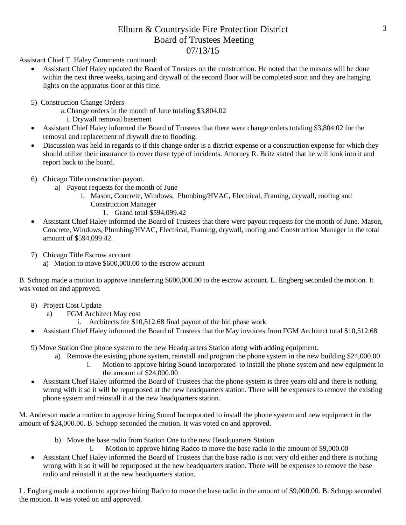Assistant Chief T. Haley Comments continued:

- Assistant Chief Haley updated the Board of Trustees on the construction. He noted that the masons will be done within the next three weeks, taping and drywall of the second floor will be completed soon and they are hanging lights on the apparatus floor at this time.
- 5) Construction Change Orders
	- a.Change orders in the month of June totaling \$3,804.02
		- i. Drywall removal basement
- Assistant Chief Haley informed the Board of Trustees that there were change orders totaling \$3,804.02 for the removal and replacement of drywall due to flooding.
- Discussion was held in regards to if this change order is a district expense or a construction expense for which they should utilize their insurance to cover these type of incidents. Attorney R. Britz stated that he will look into it and report back to the board.
- 6) Chicago Title construction payout.
	- a) Payout requests for the month of June
		- i. Mason, Concrete, Windows, Plumbing/HVAC, Electrical, Framing, drywall, roofing and Construction Manager
			- 1. Grand total \$594,099.42
- Assistant Chief Haley informed the Board of Trustees that there were payout requests for the month of June. Mason, Concrete, Windows, Plumbing/HVAC, Electrical, Framing, drywall, roofing and Construction Manager in the total amount of \$594,099.42.
- 7) Chicago Title Escrow account
	- a) Motion to move \$600,000.00 to the escrow account

B. Schopp made a motion to approve transferring \$600,000.00 to the escrow account. L. Engberg seconded the motion. It was voted on and approved.

- 8) Project Cost Update
	- a) FGM Architect May cost
		- i. Architects fee \$10,512.68 final payout of the bid phase work
- Assistant Chief Haley informed the Board of Trustees that the May invoices from FGM Architect total \$10,512.68
- 9) Move Station One phone system to the new Headquarters Station along with adding equipment.
	- a) Remove the existing phone system, reinstall and program the phone system in the new building \$24,000.00
		- i. Motion to approve hiring Sound Incorporated to install the phone system and new equipment in the amount of \$24,000.00
- Assistant Chief Haley informed the Board of Trustees that the phone system is three years old and there is nothing wrong with it so it will be repurposed at the new headquarters station. There will be expenses to remove the existing phone system and reinstall it at the new headquarters station.

M. Anderson made a motion to approve hiring Sound Incorporated to install the phone system and new equipment in the amount of \$24,000.00. B. Schopp seconded the motion. It was voted on and approved.

- b) Move the base radio from Station One to the new Headquarters Station
	- i. Motion to approve hiring Radco to move the base radio in the amount of \$9,000.00
- Assistant Chief Haley informed the Board of Trustees that the base radio is not very old either and there is nothing wrong with it so it will be repurposed at the new headquarters station. There will be expenses to remove the base radio and reinstall it at the new headquarters station.

L. Engberg made a motion to approve hiring Radco to move the base radio in the amount of \$9,000.00. B. Schopp seconded the motion. It was voted on and approved.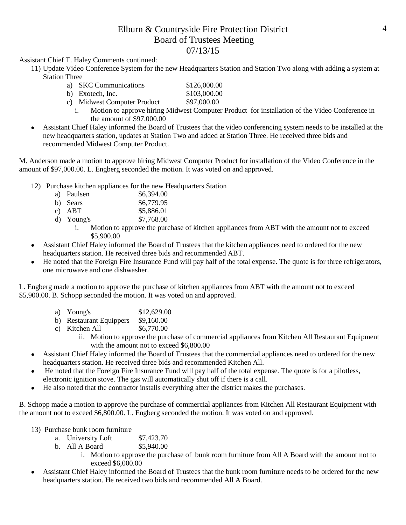Assistant Chief T. Haley Comments continued:

11) Update Video Conference System for the new Headquarters Station and Station Two along with adding a system at Station Three

| a) SKC Communications       | \$126,000.00 |
|-----------------------------|--------------|
| b) Exotech, Inc.            | \$103,000.00 |
| c) Midwest Computer Product | \$97,000.00  |

- i. Motion to approve hiring Midwest Computer Product for installation of the Video Conference in the amount of \$97,000.00
- Assistant Chief Haley informed the Board of Trustees that the video conferencing system needs to be installed at the new headquarters station, updates at Station Two and added at Station Three. He received three bids and recommended Midwest Computer Product.

M. Anderson made a motion to approve hiring Midwest Computer Product for installation of the Video Conference in the amount of \$97,000.00. L. Engberg seconded the motion. It was voted on and approved.

- 12) Purchase kitchen appliances for the new Headquarters Station
	- a) Paulsen \$6,394.00<br>b) Sears \$6,779.95
	- \$6,779.95
	- c) ABT \$5,886.01
	- d) Young's \$7,768.00
		- i. Motion to approve the purchase of kitchen appliances from ABT with the amount not to exceed \$5,900.00
- Assistant Chief Haley informed the Board of Trustees that the kitchen appliances need to ordered for the new headquarters station. He received three bids and recommended ABT.
- He noted that the Foreign Fire Insurance Fund will pay half of the total expense. The quote is for three refrigerators, one microwave and one dishwasher.

L. Engberg made a motion to approve the purchase of kitchen appliances from ABT with the amount not to exceed \$5,900.00. B. Schopp seconded the motion. It was voted on and approved.

- a) Young's \$12,629.00
- b) Restaurant Equippers \$9,160.00
- c) Kitchen All  $$6,770.00$ 
	- ii. Motion to approve the purchase of commercial appliances from Kitchen All Restaurant Equipment with the amount not to exceed \$6,800.00
- Assistant Chief Haley informed the Board of Trustees that the commercial appliances need to ordered for the new headquarters station. He received three bids and recommended Kitchen All.
- He noted that the Foreign Fire Insurance Fund will pay half of the total expense. The quote is for a pilotless, electronic ignition stove. The gas will automatically shut off if there is a call.
- He also noted that the contractor installs everything after the district makes the purchases.

B. Schopp made a motion to approve the purchase of commercial appliances from Kitchen All Restaurant Equipment with the amount not to exceed \$6,800.00. L. Engberg seconded the motion. It was voted on and approved.

- 13) Purchase bunk room furniture
	- a. University Loft \$7,423.70
	- b. All A Board \$5,940.00
		- i. Motion to approve the purchase of bunk room furniture from All A Board with the amount not to exceed \$6,000.00
- Assistant Chief Haley informed the Board of Trustees that the bunk room furniture needs to be ordered for the new headquarters station. He received two bids and recommended All A Board.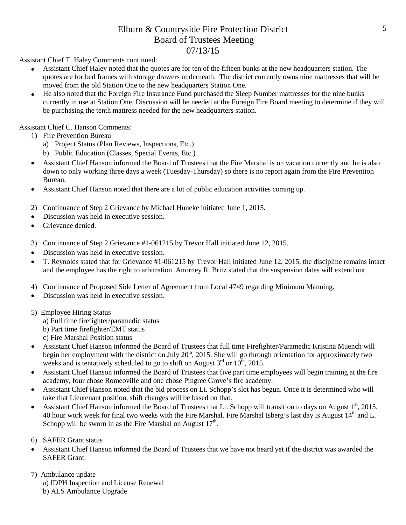Assistant Chief T. Haley Comments continued:

- Assistant Chief Haley noted that the quotes are for ten of the fifteen bunks at the new headquarters station. The quotes are for bed frames with storage drawers underneath. The district currently owns nine mattresses that will be moved from the old Station One to the new headquarters Station One.
- He also noted that the Foreign Fire Insurance Fund purchased the Sleep Number mattresses for the nine bunks currently in use at Station One. Discussion will be needed at the Foreign Fire Board meeting to determine if they will be purchasing the tenth mattress needed for the new headquarters station.

Assistant Chief C. Hanson Comments:

- 1) Fire Prevention Bureau
	- a) Project Status (Plan Reviews, Inspections, Etc.)
	- b) Public Education (Classes, Special Events, Etc.)
- Assistant Chief Hanson informed the Board of Trustees that the Fire Marshal is on vacation currently and he is also down to only working three days a week (Tuesday-Thursday) so there is no report again from the Fire Prevention Bureau.
- Assistant Chief Hanson noted that there are a lot of public education activities coming up.
- 2) Continuance of Step 2 Grievance by Michael Huneke initiated June 1, 2015.
- Discussion was held in executive session.
- Grievance denied.
- 3) Continuance of Step 2 Grievance #1-061215 by Trevor Hall initiated June 12, 2015.
- Discussion was held in executive session.
- T. Reynolds stated that for Grievance #1-061215 by Trevor Hall initiated June 12, 2015, the discipline remains intact and the employee has the right to arbitration. Attorney R. Britz stated that the suspension dates will extend out.
- 4) Continuance of Proposed Side Letter of Agreement from Local 4749 regarding Minimum Manning.
- Discussion was held in executive session.
- 5) Employee Hiring Status
	- a) Full time firefighter/paramedic status
	- b) Part time firefighter/EMT status
	- c) Fire Marshal Position status
- Assistant Chief Hanson informed the Board of Trustees that full time Firefighter/Paramedic Kristina Muench will begin her employment with the district on July  $20<sup>th</sup>$ , 2015. She will go through orientation for approximately two weeks and is tentatively scheduled to go to shift on August  $3<sup>rd</sup>$  or  $10<sup>th</sup>$ , 2015.
- Assistant Chief Hanson informed the Board of Trustees that five part time employees will begin training at the fire academy, four chose Romeoville and one chose Pingree Grove's fire academy.
- Assistant Chief Hanson noted that the bid process on Lt. Schopp's slot has begun. Once it is determined who will take that Lieutenant position, shift changes will be based on that.
- Assistant Chief Hanson informed the Board of Trustees that Lt. Schopp will transition to days on August  $1<sup>st</sup>$ , 2015. 40 hour work week for final two weeks with the Fire Marshal. Fire Marshal Isberg's last day is August 14<sup>th</sup> and L. Schopp will be sworn in as the Fire Marshal on August  $17<sup>th</sup>$ .
- 6) SAFER Grant status
- Assistant Chief Hanson informed the Board of Trustees that we have not heard yet if the district was awarded the SAFER Grant.
- 7) Ambulance update
	- a) IDPH Inspection and License Renewal
	- b) ALS Ambulance Upgrade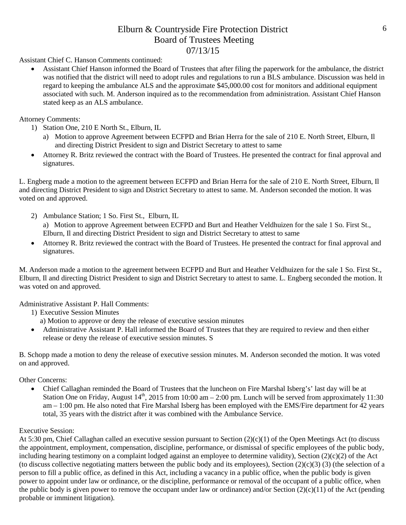Assistant Chief C. Hanson Comments continued:

• Assistant Chief Hanson informed the Board of Trustees that after filing the paperwork for the ambulance, the district was notified that the district will need to adopt rules and regulations to run a BLS ambulance. Discussion was held in regard to keeping the ambulance ALS and the approximate \$45,000.00 cost for monitors and additional equipment associated with such. M. Anderson inquired as to the recommendation from administration. Assistant Chief Hanson stated keep as an ALS ambulance.

Attorney Comments:

- 1) Station One, 210 E North St., Elburn, IL
	- a) Motion to approve Agreement between ECFPD and Brian Herra for the sale of 210 E. North Street, Elburn, Il and directing District President to sign and District Secretary to attest to same
- Attorney R. Britz reviewed the contract with the Board of Trustees. He presented the contract for final approval and signatures.

L. Engberg made a motion to the agreement between ECFPD and Brian Herra for the sale of 210 E. North Street, Elburn, Il and directing District President to sign and District Secretary to attest to same. M. Anderson seconded the motion. It was voted on and approved.

- 2) Ambulance Station; 1 So. First St., Elburn, IL
	- a) Motion to approve Agreement between ECFPD and Burt and Heather Veldhuizen for the sale 1 So. First St., Elburn, Il and directing District President to sign and District Secretary to attest to same
- Attorney R. Britz reviewed the contract with the Board of Trustees. He presented the contract for final approval and signatures.

M. Anderson made a motion to the agreement between ECFPD and Burt and Heather Veldhuizen for the sale 1 So. First St., Elburn, Il and directing District President to sign and District Secretary to attest to same. L. Engberg seconded the motion. It was voted on and approved.

Administrative Assistant P. Hall Comments:

- 1) Executive Session Minutes
	- a) Motion to approve or deny the release of executive session minutes
- Administrative Assistant P. Hall informed the Board of Trustees that they are required to review and then either release or deny the release of executive session minutes. S

B. Schopp made a motion to deny the release of executive session minutes. M. Anderson seconded the motion. It was voted on and approved.

Other Concerns:

• Chief Callaghan reminded the Board of Trustees that the luncheon on Fire Marshal Isberg's' last day will be at Station One on Friday, August  $14^{th}$ , 2015 from 10:00 am – 2:00 pm. Lunch will be served from approximately 11:30 am – 1:00 pm. He also noted that Fire Marshal Isberg has been employed with the EMS/Fire department for 42 years total, 35 years with the district after it was combined with the Ambulance Service.

#### Executive Session:

At 5:30 pm, Chief Callaghan called an executive session pursuant to Section (2)(c)(1) of the Open Meetings Act (to discuss the appointment, employment, compensation, discipline, performance, or dismissal of specific employees of the public body, including hearing testimony on a complaint lodged against an employee to determine validity), Section (2)(c)(2) of the Act (to discuss collective negotiating matters between the public body and its employees), Section  $(2)(c)(3)$  (3) (the selection of a person to fill a public office, as defined in this Act, including a vacancy in a public office, when the public body is given power to appoint under law or ordinance, or the discipline, performance or removal of the occupant of a public office, when the public body is given power to remove the occupant under law or ordinance) and/or Section  $(2)(c)(11)$  of the Act (pending probable or imminent litigation).